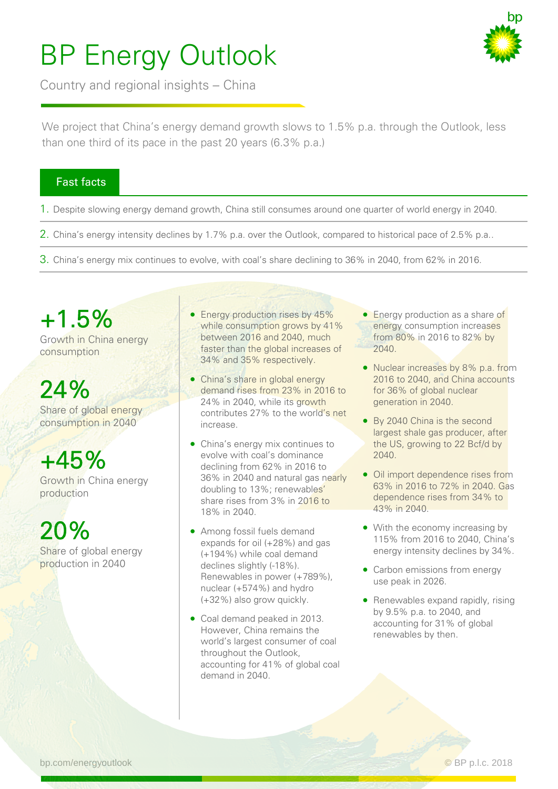## BP Energy Outlook

Country and regional insights – China



We project that China's energy demand growth slows to 1.5% p.a. through the Outlook, less than one third of its pace in the past 20 years (6.3% p.a.)

#### Fast facts

- 1. Despite slowing energy demand growth, China still consumes around one quarter of world energy in 2040.
- 2. China's energy intensity declines by 1.7% p.a. over the Outlook, compared to historical pace of 2.5% p.a..
- 3. China's energy mix continues to evolve, with coal's share declining to 36% in 2040, from 62% in 2016.

+1.5% Growth in China energy consumption

## 24%

Share of global energy consumption in 2040

### $+45%$

Growth in China energy production

20%

Share of global energy production in 2040

- Energy production rises by 45% while consumption grows by 41% between 2016 and 2040, much faster than the global increases of 34% and 35% respectively.
- China's share in global energy demand rises from 23% in 2016 to 24% in 2040, while its growth contributes 27% to the world's net increase.
- China's energy mix continues to evolve with coal's dominance declining from 62% in 2016 to 36% in 2040 and natural gas nearly doubling to 13%; renewables' share rises from 3% in 2016 to 18% in 2040.
- (+194%) while coal demand Among fossil fuels demand expands for oil (+28%) and gas declines slightly (-18%). Renewables in power (+789%), nuclear (+574%) and hydro (+32%) also grow quickly.
- Coal demand peaked in 2013. However, China remains the world's largest consumer of coal throughout the Outlook, accounting for 41% of global coal demand in 2040.
- **Energy production as a share of** energy consumption increases from 80% in 2016 to 82% by 2040.
- Nuclear increases by 8% p.a. from 2016 to 2040, and China accounts for 36% of global nuclear generation in 2040.
- By 2040 China is the second largest shale gas producer, after the US, growing to 22 Bcf/d by 2040.
- Oil import dependence rises from 63% in 2016 to 72% in 2040. Gas dependence rises from 34% to 43% in 2040.
- With the economy increasing by 115% from 2016 to 2040, China's energy intensity declines by 34%.
- Carbon emissions from energy use peak in 2026.
- Renewables expand rapidly, rising by 9.5% p.a. to 2040, and accounting for 31% of global renewables by then.